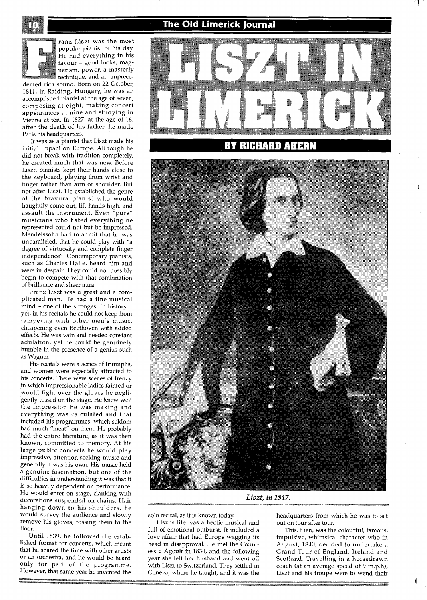The Old Limerick Journal



ranz Liszt was the most popular pianist of his day. He had everything in his favour - good looks, magnetism, power, a masterly technique, and an unprece-

dented rich sound. Born on 22 October, 1811, in Raiding, Hungary, he was an accomplished pianist at the age of seven, composing at eight, making concert appearances at nine and studying in Vienna at ten. In 1827, at the age of 16, after the death of his father, he made Paris his headquarters.

It was as a pianist that Liszt made his initial impact on Europe. Although he did not break with tradition completely, he created much that was new. Before Liszt, pianists kept their hands close to the keyboard, playing from wrist and finger rather than arm or shoulder. But not after Liszt. He established the genre of the bravura pianist who would haughtily come out, lift hands high, and assault the instrument. Even "pure" musicians who hated everything he represented could not but be impressed. Mendelssohn had to admit that he was unparalleled, that he could play with "a degree of virtuosity and complete finger independence". Contemporary pianists, such as Charles Halle, heard him and were in despair. They could not possibly begin to compete with that combination of brilliance and sheer aura.

Franz Liszt was a great and a complicated man. He had a fine musical  $mind$  – one of the strongest in history – yet, in his recitals he could not keep from tampering with other men's music, cheapening even Beethoven with added effects. He was vain and needed constant adulation, yet he could be genuinely humble in the presence of a genius such as Wagner.

His recitals were a series of triumphs, and women were especially attracted to his concerts. There were scenes of frenzy in which impressionable ladies fainted or would fight over the gloves he negligently tossed on the stage. He knew well the impression he was making and everything was calculated and that included his programmes, which seldom had much "meat" on them. He probably had the entire literature, as it was then known, committed to memory. At his large public concerts he would play impressive, attention-seeking music and generally it was his own. His music held a genuine fascination, but one of the difficulties in understanding it was that it is so heavily dependent on performance. He would enter on stage, clanking with decorations suspended on chains. Hair hanging down to his shoulders, he would survey the audience and slowly remove his gloves, tossing them to the floor.

Until 1839, he followed the established format for concerts, which meant that he shared the time with other artists or an orchestra, and he would be heard only for part of the programme. However, that same year he invented the



## **RICHARD AHERN**



*Liszt, in* **1847.** 

solo recital, as it is known today.

Liszt's life was a hectic musical and full of emotional outburst. It included a love affair that had Europe wagging its head in disapproval. He met the Countess d'Agoult in 1834, and the following year she left her husband and went off with Liszt to Switzerland. They settled in Geneva, where he taught, and it was the

headquarters from which he was to set out on tour after tour.

This, then, was the colourful, famous, impulsive, whimsical character who in August, 1840, decided to undertake a Grand Tour of England, Ireland and Scotland. Travelling in a horsedrawn coach (at an average speed of 9 m.p.h), Liszt and his troupe were to wend their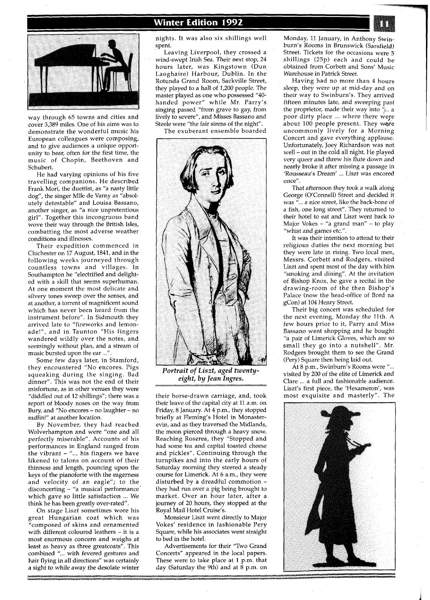

way through 65 towns and cities and cover 3,389 miles. One of his aims was to demonstrate the wonderful music his European colleagues were composing, and to give audiences a unique opportunity to hear, often for the first time, the music of Chopin, Beethoven and Schubert.

He had varying opinions of his five travelling companions. He described Frank Mori, the duettist, as "a nasty little dog", the singer Mlle de Varny as "absolutely detestable" and Louisa Bassano, another singer, as "a nice unpretentious girl". Together this incongruous band wove their way through the British Isles, combatting the most adverse weather conditions and illnesses.

Their expedition commenced in Chichester on 17 August, 1841, and in the following weeks journeyed through countless towns and villages. In Southampton he "electrified and delighted with a skill that seems superhuman. At one moment the most delicate and silvery tones sweep over the senses, and at andther, a torrent of magnificent sound which has never been heard from the instrument before". In Sidmouth they arrived late to "fireworks and lemonade!", and in Taunton "His fingers wandered wildly over the notes, and seemingly without plan, and a stream of music bursted upon the ear ...".

Some few days later, in Stamford, they encountered "No encores. Pigs squeaking during the singing. Bad dinner". This was not the end of their misfortune, as in other venues they were "diddled out of 12 shillings"; there was a report of bloody noses on the way from Bury, and "No encores - no laughter - no nuffin!" at another location.

By November, they had reached Wolverhampton and were "one and all perfectly miserable". Accounts of his performances in England ranged from the vibrant  $-$  "... his fingers we have likened to talons on account of their thinness and length, pouncing upon the keys of the pianoforte with the eagerness and velocity of an eagle"; to the disconcerting - "a musical performance' which gave so little satisfaction ... We think he has been greatly over-rated".

On stage Liszt sometimes wore his great Hungarian coat which was "composed of skins and ornamented with different coloured leathers - it is a most enormous concern and weighs at least as heavy as three greatcoats". This combined "... with fevered gestures and hair flying in all directions" was certainly a sight to while away the desolate winter

## **Winter Edition 1992**

nights. It was also six shillings well spent.

Leaving Liverpool, they crossed a wind-swept Irish Sea. Their next stop, 24 hours later, was Kingstown (Dun Laoghaire) Harbour, Dublin. In the Rotunda Grand Room, Sackville Street, they played to a hall of 1,200 people. The master played as one who possessed "40 handed power" while Mr. Parry's singing passed "from grave to gay, from lively to severe", and Misses Bassano and Steele were "the fair sirens of the night".

The exuberant ensemble boarded



*Portrait of Liszt, aged twentyeight, by Jean Ingres.* 

their horse-drawn carriage, and, took their leave of the capital city at 11 a.m. on Friday, 8 January. At 4 p.m., they stopped briefly at Fleming's Hotel in Monasterevin, and as they traversed the Midlands, the moon pierced through a heavy snow. Reaching Roserea, they "Stopped and had some tea and capital toasted cheese and pickles". Continuing through the turnpikes and into the early hours of Saturday morning they steered a steady course for Limerick. At 6 a.m., they were disturbed by a dreadful commotion they had run over a pig being brought to market. Over an hour later, after a journey of 20 hours, they stopped at the Royal Mail Hotel Cruise's.

Monsieur Liszt went directly to Major Vokes' residence in fashionable Pery Square, while his associates went straight to bed in the hotel.

Advertisements for their "Two Grand Concerts" appeared in the local papers. These were to take place at 1 p.m. that day (Saturday the 9th) and at 8 p.m. on

Monday, 11 January, in Anthony Swinburn's Rooms in Brunswick (Sarsfield) Street. Tickets for the occasions were 5 shillings (25p) each and could be obtained from Corbett and Sons' Music Warehouse in Patrick Street.

Having had no more than 4 hours sleep, they were up at mid-day and on their way to Swinburn's. They arrived fifteen minutes late, and sweeping past the proprietor, made their way into  $\frac{u}{\sqrt{2}}$ . a poor dirty place ... where there were about 100 people present. They were uncommonly lively for a Morning Concert and gave everything applause. Unfortunately, Joey Richardson was not well - out in the cold all night. He played very queer and threw his flute down and nearly broke it after missing a passage in 'Rousseau's Dream' ... Liszt was encored once".

That afternoon they took a walk along George (O'Connell) Street and decided it was "... a nice street, like the back-bone of a fish, one long street". They returned to their hotel to eat and Liszt went back to Major Vokes - "a grand man" - to play "whist and games etc.".

It was their intention to attend to their religious duties the next morning but they were late in rising. Two local men, Messrs. Corbett and Rodgers, visited Liszt and spent most of the day with him "smoking and dining". At the invitation of Bishop Knox, he gave a recital in the drawing-room of the then Bishop's Palace (now the head-office of Bord na gCon) at 104 Henry Street.

Their big concert was scheduled for the next evening, Monday the 11th. A few hours prior to it, Parry and Miss Bassano went shopping and he bought "a pair of Limerick Gloves, which are so small they go into a nutshell". Mr. Rodgers brought them to see the Grand (Pery) Square then being laid out.

At 8 p.m., Swinburn's Rooms were "... visited by 200 of the elite of Limerick and Clare ... a full and fashionable audience. Liszt's first piece, the 'Hexameron', was most exquisite and masterly". The